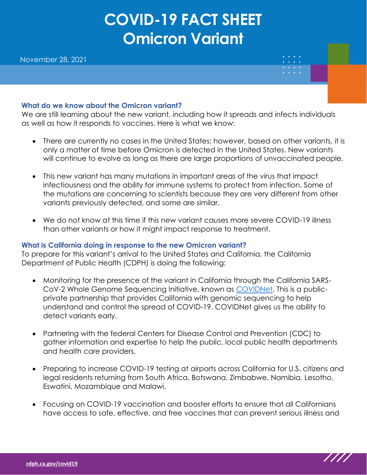# **COVID-19 FACT SHEET Omicron Variant**

## **What do we know about the Omicron variant?**

We are still learning about the new variant, including how it spreads and infects individuals as well as how it responds to vaccines. Here is what we know:

- There are currently no cases in the United States; however, based on other variants, it is only a matter of time before Omicron is detected in the United States. New variants will continue to evolve as long as there are large proportions of unvaccinated people.
- This new variant has many mutations in important areas of the virus that impact infectiousness and the ability for immune systems to protect from infection. Some of the mutations are concerning to scientists because they are very different from other variants previously detected, and some are similar.
- We do not know at this time if this new variant causes more severe COVID-19 illness than other variants or how it might impact response to treatment.

## **What is California doing in response to the new Omicron variant?**

To prepare for this variant's arrival to the United States and California, the California Department of Public Health (CDPH) is doing the following:

- Monitoring for the presence of the variant in California through the California SARS-CoV-2 Whole Genome Sequencing Initiative, known as [COVIDNet.](https://testing.covid19.ca.gov/covidnet/) This is a publicprivate partnership that provides California with genomic sequencing to help understand and control the spread of COVID-19. COVIDNet gives us the ability to detect variants early.
- Partnering with the federal Centers for Disease Control and Prevention (CDC) to gather information and expertise to help the public, local public health departments and health care providers.
- Preparing to increase COVID-19 testing at airports across California for U.S. citizens and legal residents returning from South Africa, Botswana, Zimbabwe, Namibia, Lesotho, Eswatini, Mozambique and Malawi.
- Focusing on COVID-19 vaccination and booster efforts to ensure that all Californians have access to safe, effective, and free vaccines that can prevent serious illness and

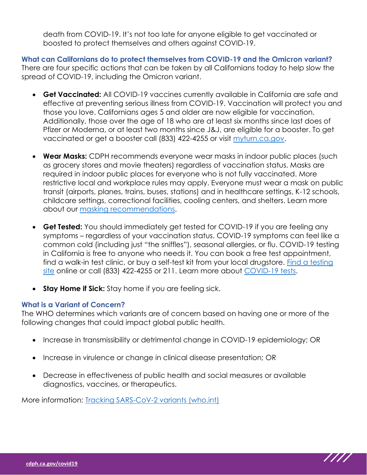death from COVID-19. It's not too late for anyone eligible to get vaccinated or boosted to protect themselves and others against COVID-19.

**What can Californians do to protect themselves from COVID-19 and the Omicron variant?** There are four specific actions that can be taken by all Californians today to help slow the spread of COVID-19, including the Omicron variant.

- **Get Vaccinated:** All COVID-19 vaccines currently available in California are safe and effective at preventing serious illness from COVID-19. Vaccination will protect you and those you love. Californians ages 5 and older are now eligible for vaccination. Additionally, those over the age of 18 who are at least six months since last does of Pfizer or Moderna, or at least two months since J&J, are eligible for a booster. To get vaccinated or get a booster call (833) 422-4255 or visit [myturn.ca.gov.](https://myturn.ca.gov/)
- **Wear Masks:** CDPH recommends everyone wear masks in indoor public places (such as grocery stores and movie theaters) regardless of vaccination status. Masks are required in indoor public places for everyone who is not fully vaccinated. More restrictive local and workplace rules may apply. Everyone must wear a mask on public transit (airports, planes, trains, buses, stations) and in healthcare settings, K-12 schools, childcare settings, correctional facilities, cooling centers, and shelters. Learn more about our [masking recommendations.](https://www.cdph.ca.gov/Programs/CID/DCDC/CDPH%20Document%20Library/COVID-19/Translations/Use-of-Face-Coverings-Fact-Sheets--en.pdf)
- **Get Tested:** You should immediately get tested for COVID-19 if you are feeling any symptoms – regardless of your vaccination status. COVID-19 symptoms can feel like a common cold (including just "the sniffles"), seasonal allergies, or flu. COVID-19 testing in California is free to anyone who needs it. You can book a free test appointment, find a walk-in test clinic, or buy a self-test kit from your local drugstore. [Find a testing](https://www.arcgis.com/apps/Nearby/index.html?appid=43118dc0d5d348d8ab20a81967a15401)  [site](https://www.arcgis.com/apps/Nearby/index.html?appid=43118dc0d5d348d8ab20a81967a15401) online or call (833) 422-4255 or 211. Learn more about [COVID-19 tests.](https://www.cdph.ca.gov/Programs/CID/DCDC/CDPH%20Document%20Library/COVID-19/Translations/Fact-Sheet-for-PCR-Antigen-and-Serology-Tests--en.pdf)
- **Stay Home if Sick:** Stay home if you are feeling sick.

# **What is a Variant of Concern?**

The WHO determines which variants are of concern based on having one or more of the following changes that could impact global public health.

- Increase in transmissibility or detrimental change in COVID-19 epidemiology; OR
- Increase in virulence or change in clinical disease presentation; OR
- Decrease in effectiveness of public health and social measures or available diagnostics, vaccines, or therapeutics.

More information: [Tracking SARS-CoV-2 variants \(who.int\)](https://www.who.int/en/activities/tracking-SARS-CoV-2-variants/)